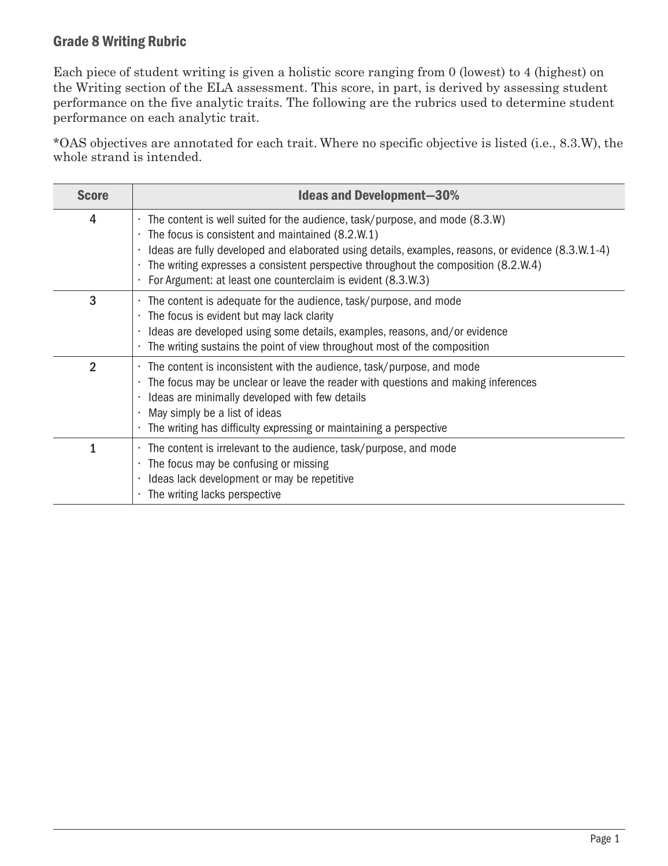## Grade 8 Writing Rubric

Each piece of student writing is given a holistic score ranging from 0 (lowest) to 4 (highest) on the Writing section of the ELA assessment. This score, in part, is derived by assessing student performance on the five analytic traits. The following are the rubrics used to determine student performance on each analytic trait.

\*OAS objectives are annotated for each trait. Where no specific objective is listed (i.e., 8.3.W), the whole strand is intended.

| <b>Score</b>   | <b>Ideas and Development-30%</b>                                                                                                                                                                                                                                                                                                                                                                                                                     |
|----------------|------------------------------------------------------------------------------------------------------------------------------------------------------------------------------------------------------------------------------------------------------------------------------------------------------------------------------------------------------------------------------------------------------------------------------------------------------|
| 4              | The content is well suited for the audience, task/purpose, and mode (8.3.W)<br>$\epsilon$<br>The focus is consistent and maintained (8.2.W.1)<br>$\blacksquare$<br>Ideas are fully developed and elaborated using details, examples, reasons, or evidence (8.3.W.1-4)<br>The writing expresses a consistent perspective throughout the composition (8.2.W.4)<br>л.<br>For Argument: at least one counterclaim is evident (8.3.W.3)<br>$\blacksquare$ |
| 3              | The content is adequate for the audience, task/purpose, and mode<br>٠<br>The focus is evident but may lack clarity<br>$\blacksquare$<br>Ideas are developed using some details, examples, reasons, and/or evidence<br>$\blacksquare$<br>The writing sustains the point of view throughout most of the composition<br>٠,                                                                                                                              |
| $\overline{2}$ | The content is inconsistent with the audience, task/purpose, and mode<br>٠<br>The focus may be unclear or leave the reader with questions and making inferences<br>$\blacksquare$<br>Ideas are minimally developed with few details<br>٠,<br>May simply be a list of ideas<br>The writing has difficulty expressing or maintaining a perspective                                                                                                     |
| 1              | The content is irrelevant to the audience, task/purpose, and mode<br>٠.<br>$\cdot$ The focus may be confusing or missing<br>Ideas lack development or may be repetitive<br>The writing lacks perspective                                                                                                                                                                                                                                             |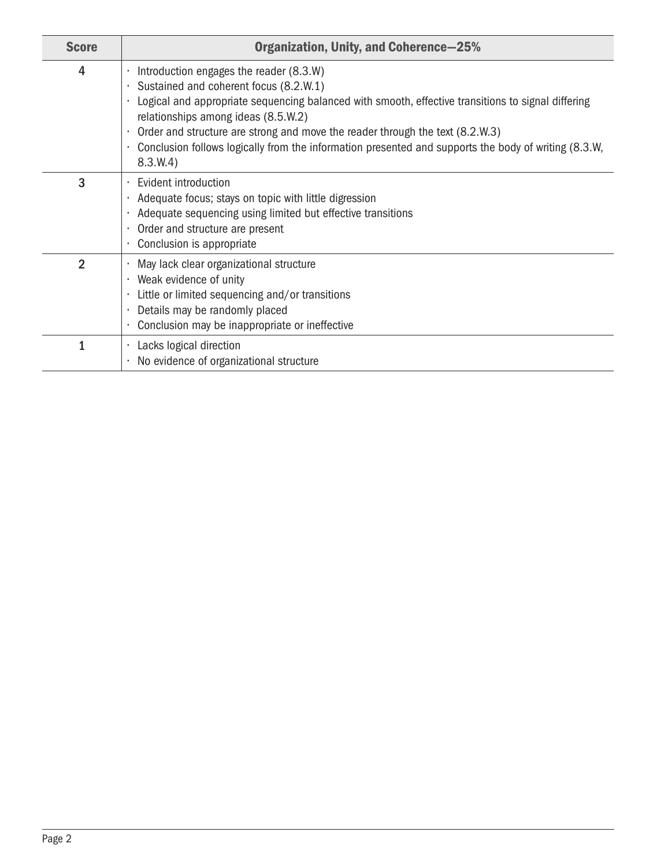| <b>Score</b>   | <b>Organization, Unity, and Coherence-25%</b>                                                                                                                                                                                                                                                                                                                                                                                       |
|----------------|-------------------------------------------------------------------------------------------------------------------------------------------------------------------------------------------------------------------------------------------------------------------------------------------------------------------------------------------------------------------------------------------------------------------------------------|
| 4              | Introduction engages the reader (8.3.W)<br>Sustained and coherent focus (8.2.W.1)<br>Logical and appropriate sequencing balanced with smooth, effective transitions to signal differing<br>relationships among ideas (8.5.W.2)<br>Order and structure are strong and move the reader through the text (8.2.W.3)<br>Conclusion follows logically from the information presented and supports the body of writing (8.3.W,<br>8.3.W.4) |
| 3              | Evident introduction<br>Adequate focus; stays on topic with little digression<br>Adequate sequencing using limited but effective transitions<br>Order and structure are present<br>Conclusion is appropriate                                                                                                                                                                                                                        |
| $\overline{2}$ | May lack clear organizational structure<br>Weak evidence of unity<br>Little or limited sequencing and/or transitions<br>Details may be randomly placed<br>Conclusion may be inappropriate or ineffective                                                                                                                                                                                                                            |
|                | Lacks logical direction<br>No evidence of organizational structure                                                                                                                                                                                                                                                                                                                                                                  |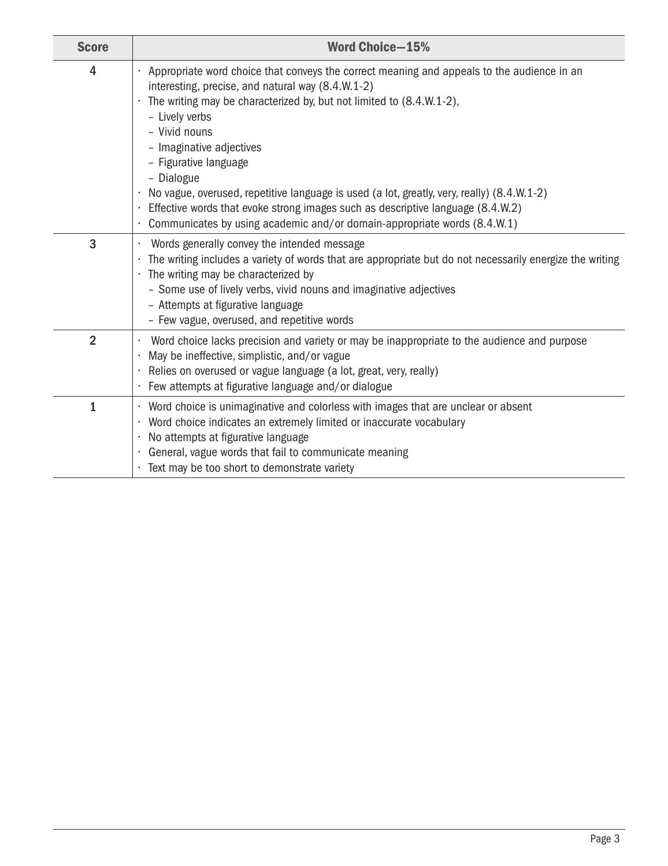| <b>Score</b>   | <b>Word Choice-15%</b>                                                                                                                                                                                                                                                                                                                                                                                                                                                                                                                                                                       |
|----------------|----------------------------------------------------------------------------------------------------------------------------------------------------------------------------------------------------------------------------------------------------------------------------------------------------------------------------------------------------------------------------------------------------------------------------------------------------------------------------------------------------------------------------------------------------------------------------------------------|
| $\overline{4}$ | Appropriate word choice that conveys the correct meaning and appeals to the audience in an<br>interesting, precise, and natural way (8.4.W.1-2)<br>The writing may be characterized by, but not limited to (8.4.W.1-2),<br>- Lively verbs<br>- Vivid nouns<br>- Imaginative adjectives<br>- Figurative language<br>- Dialogue<br>No vague, overused, repetitive language is used (a lot, greatly, very, really) (8.4.W.1-2)<br>· Effective words that evoke strong images such as descriptive language (8.4.W.2)<br>Communicates by using academic and/or domain-appropriate words (8.4.W.1) |
| 3              | Words generally convey the intended message<br>The writing includes a variety of words that are appropriate but do not necessarily energize the writing<br>· The writing may be characterized by<br>- Some use of lively verbs, vivid nouns and imaginative adjectives<br>- Attempts at figurative language<br>- Few vague, overused, and repetitive words                                                                                                                                                                                                                                   |
| $\overline{2}$ | Word choice lacks precision and variety or may be inappropriate to the audience and purpose<br>May be ineffective, simplistic, and/or vague<br>Relies on overused or vague language (a lot, great, very, really)<br>Few attempts at figurative language and/or dialogue                                                                                                                                                                                                                                                                                                                      |
| 1              | Word choice is unimaginative and colorless with images that are unclear or absent<br>· Word choice indicates an extremely limited or inaccurate vocabulary<br>No attempts at figurative language<br>General, vague words that fail to communicate meaning<br>· Text may be too short to demonstrate variety                                                                                                                                                                                                                                                                                  |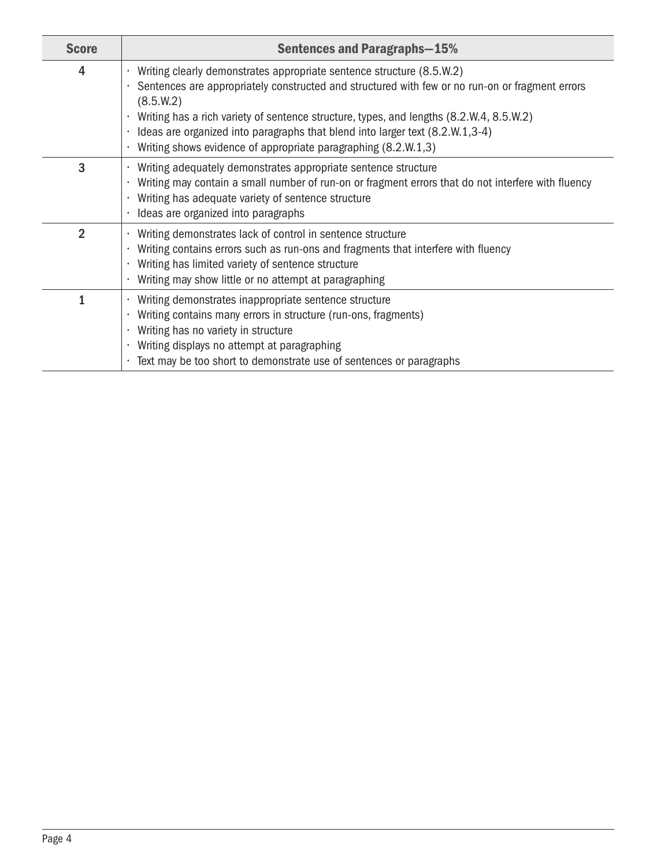| <b>Score</b>   | <b>Sentences and Paragraphs-15%</b>                                                                                                                                                                                                                                                                                                                                                                                                 |
|----------------|-------------------------------------------------------------------------------------------------------------------------------------------------------------------------------------------------------------------------------------------------------------------------------------------------------------------------------------------------------------------------------------------------------------------------------------|
| 4              | Writing clearly demonstrates appropriate sentence structure (8.5.W.2)<br>Sentences are appropriately constructed and structured with few or no run-on or fragment errors<br>(8.5.W.2)<br>Writing has a rich variety of sentence structure, types, and lengths (8.2.W.4, 8.5.W.2)<br>Ideas are organized into paragraphs that blend into larger text (8.2.W.1,3-4)<br>Writing shows evidence of appropriate paragraphing (8.2.W.1,3) |
| 3              | Writing adequately demonstrates appropriate sentence structure<br>Writing may contain a small number of run-on or fragment errors that do not interfere with fluency<br>Writing has adequate variety of sentence structure<br>Ideas are organized into paragraphs                                                                                                                                                                   |
| $\overline{2}$ | Writing demonstrates lack of control in sentence structure<br>Writing contains errors such as run-ons and fragments that interfere with fluency<br>Writing has limited variety of sentence structure<br>Writing may show little or no attempt at paragraphing                                                                                                                                                                       |
| 1              | Writing demonstrates inappropriate sentence structure<br>Writing contains many errors in structure (run-ons, fragments)<br>Writing has no variety in structure<br>Writing displays no attempt at paragraphing<br>Text may be too short to demonstrate use of sentences or paragraphs                                                                                                                                                |